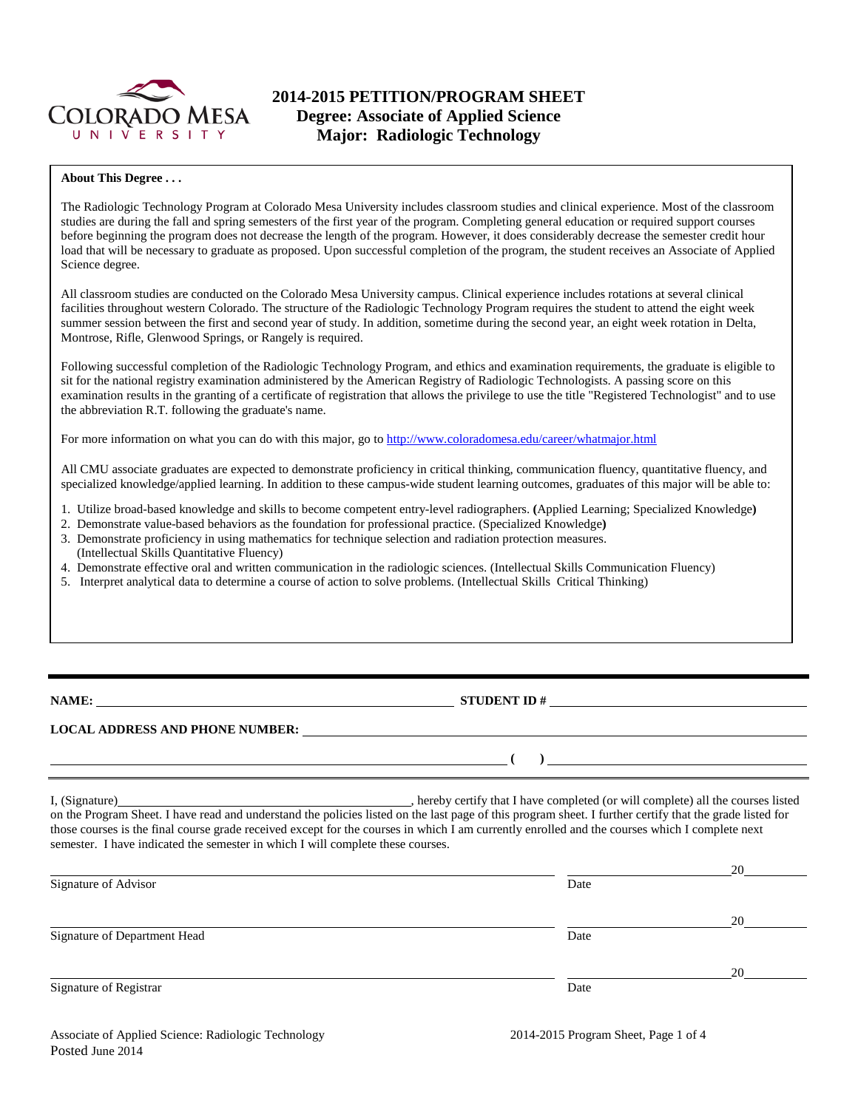

# **2014-2015 PETITION/PROGRAM SHEET Degree: Associate of Applied Science Major: Radiologic Technology**

## **About This Degree . . .**

The Radiologic Technology Program at Colorado Mesa University includes classroom studies and clinical experience. Most of the classroom studies are during the fall and spring semesters of the first year of the program. Completing general education or required support courses before beginning the program does not decrease the length of the program. However, it does considerably decrease the semester credit hour load that will be necessary to graduate as proposed. Upon successful completion of the program, the student receives an Associate of Applied Science degree.

All classroom studies are conducted on the Colorado Mesa University campus. Clinical experience includes rotations at several clinical facilities throughout western Colorado. The structure of the Radiologic Technology Program requires the student to attend the eight week summer session between the first and second year of study. In addition, sometime during the second year, an eight week rotation in Delta, Montrose, Rifle, Glenwood Springs, or Rangely is required.

Following successful completion of the Radiologic Technology Program, and ethics and examination requirements, the graduate is eligible to sit for the national registry examination administered by the American Registry of Radiologic Technologists. A passing score on this examination results in the granting of a certificate of registration that allows the privilege to use the title "Registered Technologist" and to use the abbreviation R.T. following the graduate's name.

For more information on what you can do with this major, go to<http://www.coloradomesa.edu/career/whatmajor.html>

All CMU associate graduates are expected to demonstrate proficiency in critical thinking, communication fluency, quantitative fluency, and specialized knowledge/applied learning. In addition to these campus-wide student learning outcomes, graduates of this major will be able to:

- 1. Utilize broad-based knowledge and skills to become competent entry-level radiographers. **(**Applied Learning; Specialized Knowledge**)**
- 2. Demonstrate value-based behaviors as the foundation for professional practice. (Specialized Knowledge**)**
- 3. Demonstrate proficiency in using mathematics for technique selection and radiation protection measures. (Intellectual Skills Quantitative Fluency)
- 4. Demonstrate effective oral and written communication in the radiologic sciences. (Intellectual Skills Communication Fluency)
- 5. Interpret analytical data to determine a course of action to solve problems. (Intellectual Skills Critical Thinking)

**NAME: STUDENT ID #** 

 $($   $)$ 

# **LOCAL ADDRESS AND PHONE NUMBER:**

I, (Signature) , hereby certify that I have completed (or will complete) all the courses listed on the Program Sheet. I have read and understand the policies listed on the last page of this program sheet. I further certify that the grade listed for those courses is the final course grade received except for the courses in which I am currently enrolled and the courses which I complete next semester. I have indicated the semester in which I will complete these courses.

|      | 20 |
|------|----|
| Date |    |
|      | 20 |
| Date |    |
|      | 20 |
| Date |    |
|      |    |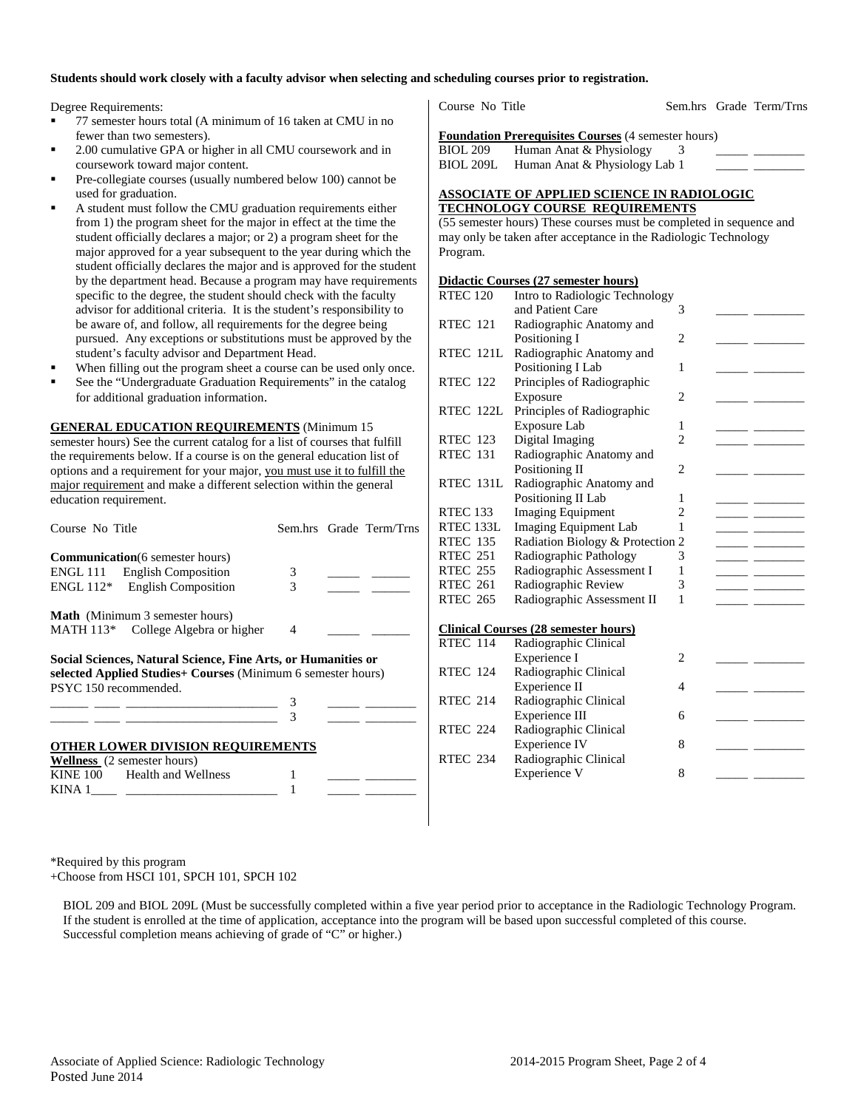### **Students should work closely with a faculty advisor when selecting and scheduling courses prior to registration.**

Degree Requirements:

- 77 semester hours total (A minimum of 16 taken at CMU in no fewer than two semesters).
- 2.00 cumulative GPA or higher in all CMU coursework and in coursework toward major content.
- Pre-collegiate courses (usually numbered below 100) cannot be used for graduation.
- A student must follow the CMU graduation requirements either from 1) the program sheet for the major in effect at the time the student officially declares a major; or 2) a program sheet for the major approved for a year subsequent to the year during which the student officially declares the major and is approved for the student by the department head. Because a program may have requirements specific to the degree, the student should check with the faculty advisor for additional criteria. It is the student's responsibility to be aware of, and follow, all requirements for the degree being pursued. Any exceptions or substitutions must be approved by the student's faculty advisor and Department Head.
- When filling out the program sheet a course can be used only once.
- See the "Undergraduate Graduation Requirements" in the catalog for additional graduation information.

**GENERAL EDUCATION REQUIREMENTS** (Minimum 15 semester hours) See the current catalog for a list of courses that fulfill the requirements below. If a course is on the general education list of options and a requirement for your major, you must use it to fulfill the major requirement and make a different selection within the general education requirement.

| Course No Title                                                                                                                                        |                | Sem.hrs Grade Term/Trns         |  |  |  |  |
|--------------------------------------------------------------------------------------------------------------------------------------------------------|----------------|---------------------------------|--|--|--|--|
| <b>Communication</b> (6 semester hours)                                                                                                                |                |                                 |  |  |  |  |
| ENGL 111 English Composition                                                                                                                           | 3              |                                 |  |  |  |  |
| ENGL 112* English Composition                                                                                                                          | 3              | $\frac{1}{2}$ and $\frac{1}{2}$ |  |  |  |  |
| <b>Math</b> (Minimum 3 semester hours)                                                                                                                 |                |                                 |  |  |  |  |
| MATH 113 <sup>*</sup> College Algebra or higher                                                                                                        | $\overline{4}$ |                                 |  |  |  |  |
| Social Sciences, Natural Science, Fine Arts, or Humanities or<br>selected Applied Studies+ Courses (Minimum 6 semester hours)<br>PSYC 150 recommended. |                |                                 |  |  |  |  |
|                                                                                                                                                        |                |                                 |  |  |  |  |
|                                                                                                                                                        |                |                                 |  |  |  |  |
| <b>OTHER LOWER DIVISION REQUIREMENTS</b>                                                                                                               |                |                                 |  |  |  |  |
| <b>Wellness</b> (2 semester hours)                                                                                                                     |                |                                 |  |  |  |  |
| KINE 100 Health and Wellness                                                                                                                           |                |                                 |  |  |  |  |
| $KINA$ 1                                                                                                                                               |                |                                 |  |  |  |  |

Course No Title Sem.hrs Grade Term/Trns

**Foundation Prerequisites Courses** (4 semester hours)

BIOL 209 Human Anat & Physiology  $\frac{3}{2}$ BIOL 209L Human Anat & Physiology Lab 1

### **ASSOCIATE OF APPLIED SCIENCE IN RADIOLOGIC TECHNOLOGY COURSE REQUIREMENTS**

(55 semester hours) These courses must be completed in sequence and may only be taken after acceptance in the Radiologic Technology Program.

#### **Didactic Courses (27 semester hours)**

| <b>RTEC 120</b> | Intro to Radiologic Technology              |                |  |
|-----------------|---------------------------------------------|----------------|--|
|                 | and Patient Care                            | 3              |  |
| <b>RTEC 121</b> | Radiographic Anatomy and                    |                |  |
|                 | Positioning I                               | 2              |  |
| RTEC 121L       | Radiographic Anatomy and                    |                |  |
|                 | Positioning I Lab                           | 1              |  |
| <b>RTEC 122</b> | Principles of Radiographic                  |                |  |
|                 | Exposure                                    | $\overline{c}$ |  |
| RTEC 122L       | Principles of Radiographic                  |                |  |
|                 | Exposure Lab                                | 1              |  |
| <b>RTEC 123</b> | Digital Imaging                             | $\overline{c}$ |  |
| <b>RTEC 131</b> | Radiographic Anatomy and                    |                |  |
|                 | Positioning II                              | $\overline{c}$ |  |
| RTEC 131L       | Radiographic Anatomy and                    |                |  |
|                 | Positioning II Lab                          | 1              |  |
| RTEC 133        | <b>Imaging Equipment</b>                    | $\overline{c}$ |  |
| RTEC 133L       | <b>Imaging Equipment Lab</b>                | 1              |  |
| <b>RTEC 135</b> | Radiation Biology & Protection 2            |                |  |
| <b>RTEC 251</b> | Radiographic Pathology                      | 3              |  |
| <b>RTEC 255</b> | Radiographic Assessment I                   | 1              |  |
| <b>RTEC 261</b> | Radiographic Review                         | 3              |  |
| <b>RTEC 265</b> | Radiographic Assessment II                  | 1              |  |
|                 |                                             |                |  |
|                 | <b>Clinical Courses (28 semester hours)</b> |                |  |
| <b>RTEC 114</b> | Radiographic Clinical                       |                |  |
|                 | Experience I                                | $\overline{c}$ |  |
| <b>RTEC 124</b> | Radiographic Clinical                       |                |  |
|                 | Experience II                               | 4              |  |
| <b>RTEC 214</b> | Radiographic Clinical                       |                |  |
|                 | Experience III                              | 6              |  |
| <b>RTEC 224</b> | Radiographic Clinical                       |                |  |
|                 | <b>Experience IV</b>                        | 8              |  |
| <b>RTEC 234</b> | Radiographic Clinical                       |                |  |
|                 | Experience V                                | 8              |  |
|                 |                                             |                |  |

\*Required by this program +Choose from HSCI 101, SPCH 101, SPCH 102

 BIOL 209 and BIOL 209L (Must be successfully completed within a five year period prior to acceptance in the Radiologic Technology Program. If the student is enrolled at the time of application, acceptance into the program will be based upon successful completed of this course. Successful completion means achieving of grade of "C" or higher.)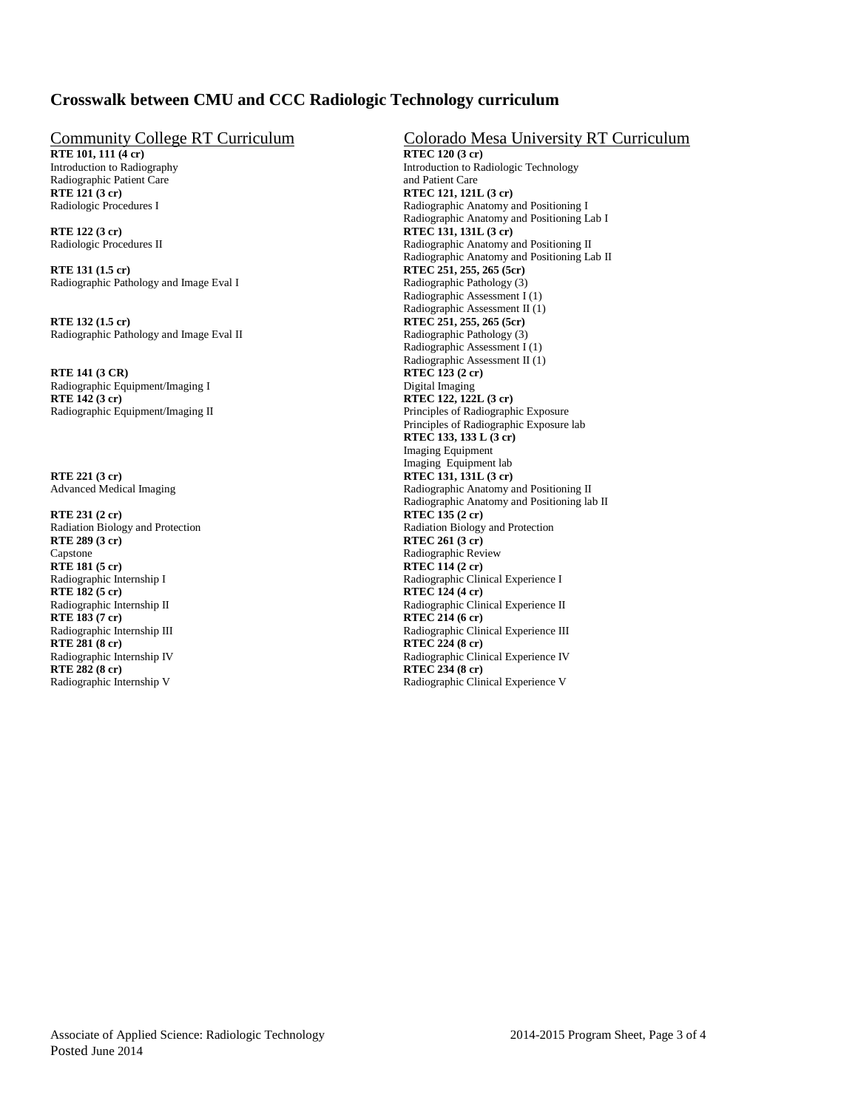# **Crosswalk between CMU and CCC Radiologic Technology curriculum**

**RTE 101, 111 (4 cr)**<br>Introduction to Radiography Radiographic Patient Care<br>RTE 121 (3 cr)

**RTE 131 (1.5 cr)**<br>
Radiographic Pathology and Image Eval I Radiographic Pathology (3)<br>
Radiographic Pathology (3) Radiographic Pathology and Image Eval I

**RTE 132 (1.5 cr)**<br>
Radiographic Pathology and Image Eval II Radiographic Pathology (3)<br>
Radiographic Pathology (3) Radiographic Pathology and Image Eval II

**RTE 141 (3 CR)**<br>
Radiographic Equipment/Imaging I<br>
Digital Imaging<br>
Digital Imaging Radiographic Equipment/Imaging I<br>RTE 142 (3 cr) **RTE 142 (3 cr)**<br>
Radiographic Equipment/Imaging II<br>
Principles of Radiograph

**RTE 221 (3 cr)**<br>Advanced Medical Imaging<br>Radiographic Anatomy and Radiographic Anatomy and Radiographic Anatomy and Radiographic Anatomy and Radiographic Anatomy and Radiographic Anatomy and Radiographic Anatomy and Radio

**RTE 231 (2 cr) RTEC 135 (2 cr)** Capstone Radiographic Review RTE 181 (5 cr) RTE 181 (5 cr) **RTE 181 (5 cr)**<br>
Radiographic Internship I<br>
Radiographic Clin **RTE 182 (5 cr)**<br>
Radiographic Internship II<br>
Radiographic Clin **RTE 183 (7 cr)**<br>
Radiographic Internship III<br>
Radiographic Clin **RTE 281 (8 cr) RTEC 224 (8 cr) RTE 282 (8 cr)**<br>
Radiographic Internship V<br>
Radiographic Clin

# Community College RT Curriculum<br>
RTE 101, 111 (4 cr) Colorado Mesa University RT Curriculum<br>
RTEC 120 (3 cr)

Introduction to Radiologic Technology<br>and Patient Care **RTE 121 (3 cr) RTEC 121, 121L (3 cr)** Radiologic Procedures I Radiographic Anatomy and Positioning I Radiographic Anatomy and Positioning Lab I **RTE 122 (3 cr)**<br>
Radiologic Procedures II<br>
Radiologic Procedures II<br>
Radiologic Procedures II Radiographic Anatomy and Positioning II Radiographic Anatomy and Positioning Lab II Radiographic Assessment I (1) Radiographic Assessment II (1) Radiographic Assessment I (1) Radiographic Assessment II (1) Principles of Radiographic Exposure Principles of Radiographic Exposure lab **RTEC 133, 133 L (3 cr)** Imaging Equipment Imaging Equipment lab Radiographic Anatomy and Positioning II Radiographic Anatomy and Positioning lab II Radiation Biology and Protection<br>
RTE 289 (3 cr) RTE 289 (3 cr) **RTEC 261 (3 cr)** Radiographic Internship I<br>
Radiographic Clinical Experience I<br>
RTE 182 (5 cr)<br>
RTE 182 (5 cr) Radiographic Internship II Radiographic Clinical Experience II<br>
RTE 183 (7 cr) RTE 214 (6 cr) Radiographic Clinical Experience III Radiographic Internship IV<br>
RTE 282 (8 cr)<br>
RTE 282 (8 cr)<br>
RTE 282 (8 cr) Radiographic Clinical Experience V